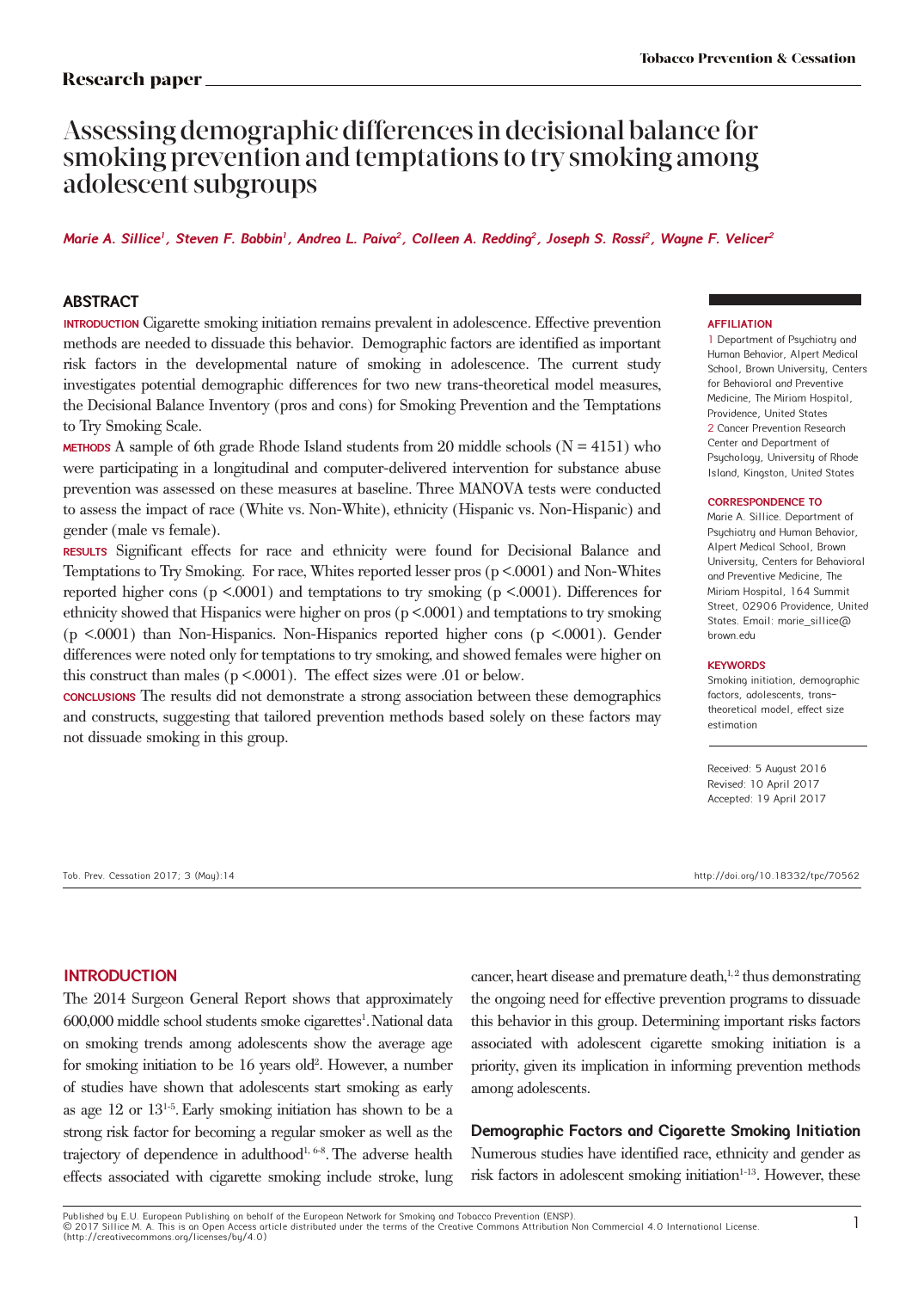# Assessing demographic differences in decisional balance for smoking prevention and temptations to try smoking among adolescent subgroups

# **Marie A. Sillice<sup>1</sup>, Steven F. Babbin<sup>1</sup>, Andrea L. Paiva<sup>2</sup>, Colleen A. Redding<sup>2</sup>, Joseph S. Rossi<sup>2</sup>, Wayne F. Velicer<sup>2</sup>**

# **ABSTRACT**

**INTRODUCTION** Cigarette smoking initiation remains prevalent in adolescence. Effective prevention methods are needed to dissuade this behavior. Demographic factors are identified as important risk factors in the developmental nature of smoking in adolescence. The current study investigates potential demographic differences for two new trans-theoretical model measures, the Decisional Balance Inventory (pros and cons) for Smoking Prevention and the Temptations to Try Smoking Scale.

**METHODS** A sample of 6th grade Rhode Island students from 20 middle schools ( $N = 4151$ ) who were participating in a longitudinal and computer-delivered intervention for substance abuse prevention was assessed on these measures at baseline. Three MANOVA tests were conducted to assess the impact of race (White vs. Non-White), ethnicity (Hispanic vs. Non-Hispanic) and gender (male vs female).

**RESULTS** Significant effects for race and ethnicity were found for Decisional Balance and Temptations to Try Smoking. For race, Whites reported lesser pros (p <.0001) and Non-Whites reported higher cons ( $p \le 0.0001$ ) and temptations to try smoking ( $p \le 0.0001$ ). Differences for ethnicity showed that Hispanics were higher on pros (p <.0001) and temptations to try smoking (p <.0001) than Non-Hispanics. Non-Hispanics reported higher cons (p <.0001). Gender differences were noted only for temptations to try smoking, and showed females were higher on this construct than males (p <.0001). The effect sizes were .01 or below.

**CONCLUSIONS** The results did not demonstrate a strong association between these demographics and constructs, suggesting that tailored prevention methods based solely on these factors may not dissuade smoking in this group.

#### **AFFILIATION**

1 Department of Psychiatry and Human Behavior, Alpert Medical School, Brown University, Centers for Behavioral and Preventive Medicine, The Miriam Hospital, Providence, United States 2 Cancer Prevention Research Center and Department of Psychology, University of Rhode Island, Kingston, United States

#### **CORRESPONDENCE TO**

Marie A. Sillice. Department of Psychiatry and Human Behavior, Alpert Medical School, Brown University, Centers for Behavioral and Preventive Medicine, The Miriam Hospital, 164 Summit Street, 02906 Providence, United States. Email: marie\_sillice@ brown.edu

#### **KEYWORDS**

Smoking initiation, demographic factors, adolescents, transtheoretical model, effect size estimation

Received: 5 August 2016 Revised: 10 April 2017 Accepted: 19 April 2017

Tob. Prev. Cessation 2017; 3 (May):14 http://doi.org/10.18332/tpc/70562

#### **INTRODUCTION**

The 2014 Surgeon General Report shows that approximately 600,000 middle school students smoke cigarettes<sup>1</sup>. National data on smoking trends among adolescents show the average age for smoking initiation to be 16 years old<sup>2</sup>. However, a number of studies have shown that adolescents start smoking as early as age 12 or 131-5.Early smoking initiation has shown to be a strong risk factor for becoming a regular smoker as well as the trajectory of dependence in adulthood<sup>1, 6-8</sup>. The adverse health effects associated with cigarette smoking include stroke, lung

cancer, heart disease and premature death,<sup>1,2</sup> thus demonstrating the ongoing need for effective prevention programs to dissuade this behavior in this group. Determining important risks factors associated with adolescent cigarette smoking initiation is a priority, given its implication in informing prevention methods among adolescents.

**Demographic Factors and Cigarette Smoking Initiation**

Numerous studies have identified race, ethnicity and gender as risk factors in adolescent smoking initiation<sup>1-13</sup>. However, these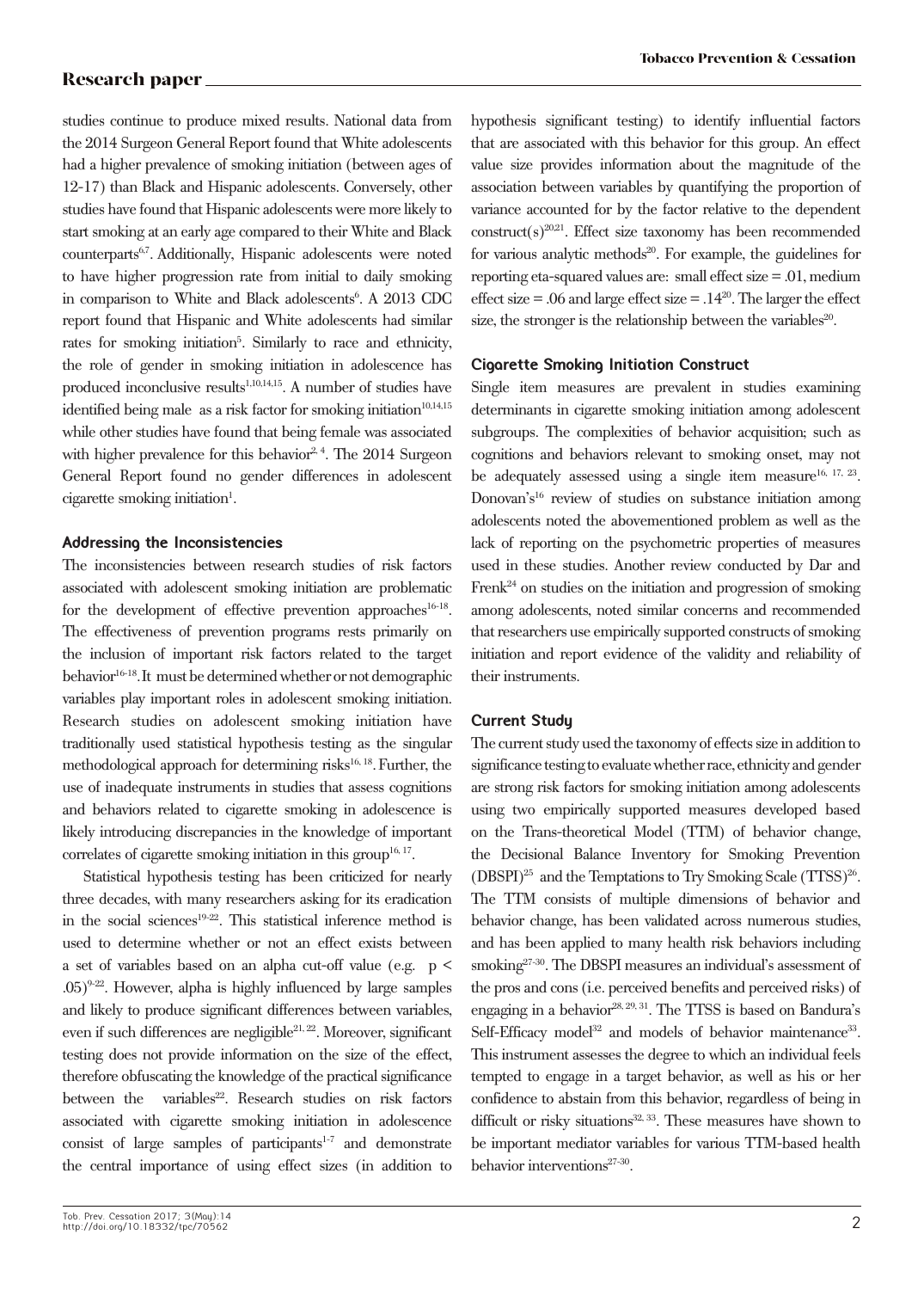studies continue to produce mixed results. National data from the 2014 Surgeon General Report found that White adolescents had a higher prevalence of smoking initiation (between ages of 12-17) than Black and Hispanic adolescents. Conversely, other studies have found that Hispanic adolescents were more likely to start smoking at an early age compared to their White and Black counterparts<sup>6,7</sup>. Additionally, Hispanic adolescents were noted to have higher progression rate from initial to daily smoking in comparison to White and Black adolescents<sup>6</sup>. A 2013 CDC report found that Hispanic and White adolescents had similar rates for smoking initiation<sup>5</sup>. Similarly to race and ethnicity, the role of gender in smoking initiation in adolescence has produced inconclusive results<sup>1,10,14,15</sup>. A number of studies have identified being male as a risk factor for smoking initiation $10,14,15$ while other studies have found that being female was associated with higher prevalence for this behavior<sup>2, 4</sup>. The 2014 Surgeon General Report found no gender differences in adolescent cigarette smoking initiation<sup>1</sup>.

# **Addressing the Inconsistencies**

The inconsistencies between research studies of risk factors associated with adolescent smoking initiation are problematic for the development of effective prevention approaches<sup>16-18</sup>. The effectiveness of prevention programs rests primarily on the inclusion of important risk factors related to the target behavior<sup>16-18</sup>. It must be determined whether or not demographic variables play important roles in adolescent smoking initiation. Research studies on adolescent smoking initiation have traditionally used statistical hypothesis testing as the singular methodological approach for determining risks $16, 18$ . Further, the use of inadequate instruments in studies that assess cognitions and behaviors related to cigarette smoking in adolescence is likely introducing discrepancies in the knowledge of important correlates of cigarette smoking initiation in this group<sup>16, 17</sup>.

Statistical hypothesis testing has been criticized for nearly three decades, with many researchers asking for its eradication in the social sciences<sup>19-22</sup>. This statistical inference method is used to determine whether or not an effect exists between a set of variables based on an alpha cut-off value (e.g. p <  $.05)^{9-22}$ . However, alpha is highly influenced by large samples and likely to produce significant differences between variables, even if such differences are negligible<sup>21, 22</sup>. Moreover, significant testing does not provide information on the size of the effect, therefore obfuscating the knowledge of the practical significance between the variables<sup>22</sup>. Research studies on risk factors associated with cigarette smoking initiation in adolescence consist of large samples of participants $1-7$  and demonstrate the central importance of using effect sizes (in addition to hypothesis significant testing) to identify influential factors that are associated with this behavior for this group. An effect value size provides information about the magnitude of the association between variables by quantifying the proportion of variance accounted for by the factor relative to the dependent  $constant(s)^{20,21}$ . Effect size taxonomy has been recommended for various analytic methods $20$ . For example, the guidelines for reporting eta-squared values are: small effect size = .01, medium effect size  $= .06$  and large effect size  $= .14^{20}$ . The larger the effect size, the stronger is the relationship between the variables<sup>20</sup>.

# **Cigarette Smoking Initiation Construct**

Single item measures are prevalent in studies examining determinants in cigarette smoking initiation among adolescent subgroups. The complexities of behavior acquisition; such as cognitions and behaviors relevant to smoking onset, may not be adequately assessed using a single item measure<sup>16, 17, 23</sup>. Donovan's<sup>16</sup> review of studies on substance initiation among adolescents noted the abovementioned problem as well as the lack of reporting on the psychometric properties of measures used in these studies. Another review conducted by Dar and Frenk $^{24}$  on studies on the initiation and progression of smoking among adolescents, noted similar concerns and recommended that researchers use empirically supported constructs of smoking initiation and report evidence of the validity and reliability of their instruments.

# **Current Study**

The current study used the taxonomy of effects size in addition to significance testing to evaluate whether race, ethnicity and gender are strong risk factors for smoking initiation among adolescents using two empirically supported measures developed based on the Trans-theoretical Model (TTM) of behavior change, the Decisional Balance Inventory for Smoking Prevention  $(DBSPI)^{25}$  and the Temptations to Try Smoking Scale (TTSS)<sup>26</sup>. The TTM consists of multiple dimensions of behavior and behavior change, has been validated across numerous studies, and has been applied to many health risk behaviors including smoking<sup>27-30</sup>. The DBSPI measures an individual's assessment of the pros and cons (i.e. perceived benefits and perceived risks) of engaging in a behavior<sup>28, 29, 31</sup>. The TTSS is based on Bandura's Self-Efficacy model<sup>32</sup> and models of behavior maintenance<sup>33</sup>. This instrument assesses the degree to which an individual feels tempted to engage in a target behavior, as well as his or her confidence to abstain from this behavior, regardless of being in difficult or risky situations $32, 33$ . These measures have shown to be important mediator variables for various TTM-based health behavior interventions<sup>27-30</sup>.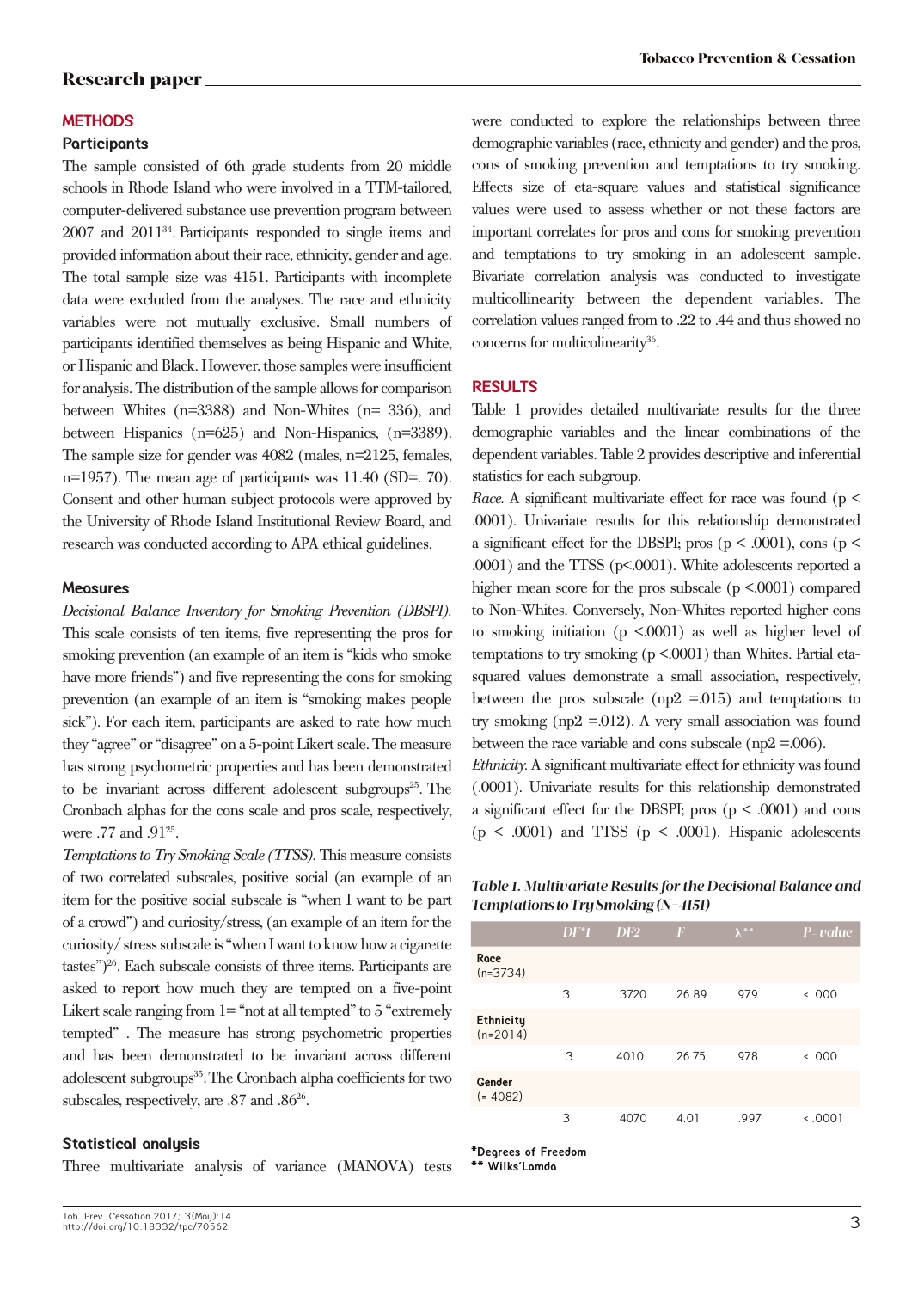#### **METHODS**

# **Participants**

The sample consisted of 6th grade students from 20 middle schools in Rhode Island who were involved in a TTM-tailored, computer-delivered substance use prevention program between 2007 and 201134. Participants responded to single items and provided information about their race, ethnicity, gender and age. The total sample size was 4151. Participants with incomplete data were excluded from the analyses. The race and ethnicity variables were not mutually exclusive. Small numbers of participants identified themselves as being Hispanic and White, or Hispanic and Black. However, those samples were insufficient for analysis. The distribution of the sample allows for comparison between Whites (n=3388) and Non-Whites (n= 336), and between Hispanics (n=625) and Non-Hispanics, (n=3389). The sample size for gender was 4082 (males, n=2125, females, n=1957). The mean age of participants was 11.40 (SD=. 70). Consent and other human subject protocols were approved by the University of Rhode Island Institutional Review Board, and research was conducted according to APA ethical guidelines.

#### **Measures**

*Decisional Balance Inventory for Smoking Prevention (DBSPI).* This scale consists of ten items, five representing the pros for smoking prevention (an example of an item is "kids who smoke have more friends") and five representing the cons for smoking prevention (an example of an item is "smoking makes people sick"). For each item, participants are asked to rate how much they "agree" or "disagree" on a 5-point Likert scale. The measure has strong psychometric properties and has been demonstrated to be invariant across different adolescent subgroups<sup>25</sup>. The Cronbach alphas for the cons scale and pros scale, respectively, were .77 and .91<sup>25</sup>.

*Temptations to Try Smoking Scale (TTSS).* This measure consists of two correlated subscales, positive social (an example of an item for the positive social subscale is "when I want to be part of a crowd") and curiosity/stress, (an example of an item for the curiosity/ stress subscale is "when I want to know how a cigarette tastes")26. Each subscale consists of three items. Participants are asked to report how much they are tempted on a five-point Likert scale ranging from 1= "not at all tempted" to 5 "extremely tempted" . The measure has strong psychometric properties and has been demonstrated to be invariant across different adolescent subgroups<sup>35</sup>. The Cronbach alpha coefficients for two subscales, respectively, are .87 and .86<sup>26</sup>.

#### **Statistical analysis**

Three multivariate analysis of variance (MANOVA) tests

were conducted to explore the relationships between three demographic variables (race, ethnicity and gender) and the pros, cons of smoking prevention and temptations to try smoking. Effects size of eta-square values and statistical significance values were used to assess whether or not these factors are important correlates for pros and cons for smoking prevention and temptations to try smoking in an adolescent sample. Bivariate correlation analysis was conducted to investigate multicollinearity between the dependent variables. The correlation values ranged from to .22 to .44 and thus showed no concerns for multicolinearity<sup>36</sup>.

#### **RESULTS**

Table 1 provides detailed multivariate results for the three demographic variables and the linear combinations of the dependent variables. Table 2 provides descriptive and inferential statistics for each subgroup.

*Race.* A significant multivariate effect for race was found ( $p <$ .0001). Univariate results for this relationship demonstrated a significant effect for the DBSPI; pros ( $p < .0001$ ), cons ( $p <$ .0001) and the TTSS (p<.0001). White adolescents reported a higher mean score for the pros subscale ( $p \le 0.0001$ ) compared to Non-Whites. Conversely, Non-Whites reported higher cons to smoking initiation ( $p \le 0.0001$ ) as well as higher level of temptations to try smoking (p <.0001) than Whites. Partial etasquared values demonstrate a small association, respectively, between the pros subscale ( $np2 = 015$ ) and temptations to try smoking ( $np2 = 012$ ). A very small association was found between the race variable and cons subscale (np2 = 0.06).

*Ethnicity.* A significant multivariate effect for ethnicity was found (.0001). Univariate results for this relationship demonstrated a significant effect for the DBSPI; pros  $(p < .0001)$  and cons  $(p \le .0001)$  and TTSS  $(p \le .0001)$ . Hispanic adolescents

*Table 1. Multivariate Results for the Decisional Balance and Temptations to Try Smoking (N=4151)* 

|                                | $DF^*1$ | DF2  | $\boldsymbol{F}$ | $\lambda^{**}$ | P-value  |
|--------------------------------|---------|------|------------------|----------------|----------|
| Race<br>$(n=3734)$             |         |      |                  |                |          |
|                                | 3       | 3720 | 26.89            | .979           | $000.$ > |
| <b>Ethnicity</b><br>$(n=2014)$ |         |      |                  |                |          |
|                                | 3       | 4010 | 26.75            | .978           | $000.$ > |
| Gender<br>$(= 4082)$           |         |      |                  |                |          |
|                                | 3       | 4070 | 4.01             | .997           | $-0001$  |

**\*Degrees of Freedom**

**\*\* Wilks'Lamda**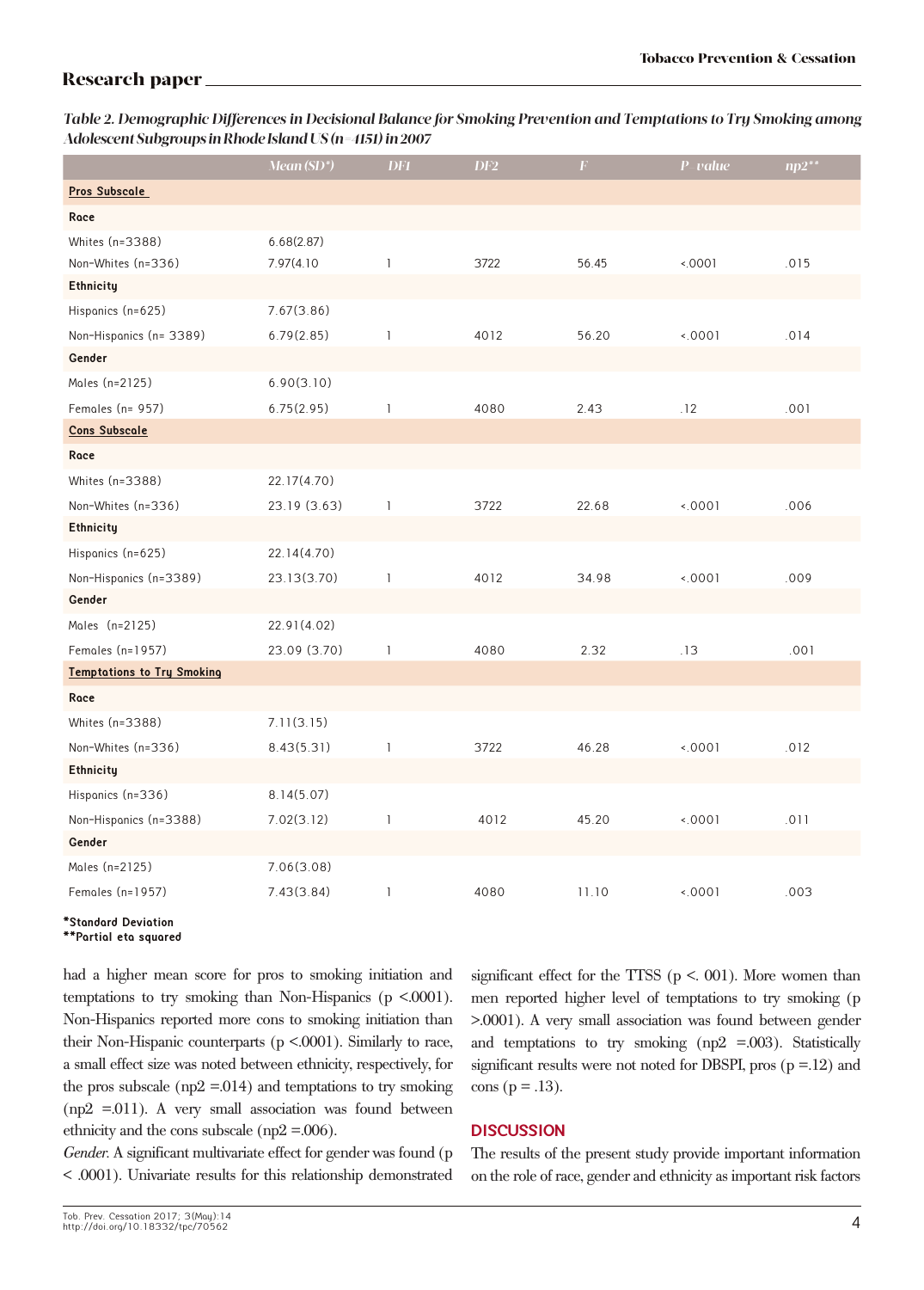*Table 2. Demographic Differences in Decisional Balance for Smoking Prevention and Temptations to Try Smoking among Adolescent Subgroups in Rhode Island US (n=4151) in 2007*

|                                   | Mean (SD*)   | <b>DF1</b>   | DF2  | $\boldsymbol{F}$ | $P$ -value | $np2^{**}$ |
|-----------------------------------|--------------|--------------|------|------------------|------------|------------|
| Pros Subscale                     |              |              |      |                  |            |            |
| Race                              |              |              |      |                  |            |            |
| Whites (n=3388)                   | 6.68(2.87)   |              |      |                  |            |            |
| Non-Whites (n=336)                | 7.97(4.10)   | $\mathbf{I}$ | 3722 | 56.45            | 0001       | .015       |
| <b>Ethnicity</b>                  |              |              |      |                  |            |            |
| Hispanics (n=625)                 | 7.67(3.86)   |              |      |                  |            |            |
| Non-Hispanics (n= 3389)           | 6.79(2.85)   | $\mathbf{1}$ | 4012 | 56.20            | 0001       | .014       |
| Gender                            |              |              |      |                  |            |            |
| Moles (n=2125)                    | 6.90(3.10)   |              |      |                  |            |            |
| Females $(n = 957)$               | 6.75(2.95)   | 1            | 4080 | 2.43             | .12        | .001       |
| <b>Cons Subscale</b>              |              |              |      |                  |            |            |
| Roce                              |              |              |      |                  |            |            |
| Whites (n=3388)                   | 22.17(4.70)  |              |      |                  |            |            |
| Non-Whites (n=336)                | 23.19 (3.63) | 1            | 3722 | 22.68            | 0001       | .006       |
| Ethnicity                         |              |              |      |                  |            |            |
| Hispanics (n=625)                 | 22.14(4.70)  |              |      |                  |            |            |
| Non-Hispanics (n=3389)            | 23.13(3.70)  | 1            | 4012 | 34.98            | 0001       | .009       |
| Gender                            |              |              |      |                  |            |            |
| Moles (n=2125)                    | 22.91(4.02)  |              |      |                  |            |            |
| Females $(n=1957)$                | 23.09 (3.70) | 1            | 4080 | 2.32             | .13        | .001       |
| <b>Temptations to Try Smoking</b> |              |              |      |                  |            |            |
| Race                              |              |              |      |                  |            |            |
| Whites (n=3388)                   | 7.11(3.15)   |              |      |                  |            |            |
| Non-Whites (n=336)                | 8.43(5.31)   | 1            | 3722 | 46.28            | 0001       | .012       |
| <b>Ethnicity</b>                  |              |              |      |                  |            |            |
| Hispanics (n=336)                 | 8.14(5.07)   |              |      |                  |            |            |
| Non-Hispanics (n=3388)            | 7.02(3.12)   | 1            | 4012 | 45.20            | 0001       | .011       |
| Gender                            |              |              |      |                  |            |            |
| Moles (n=2125)                    | 7.06(3.08)   |              |      |                  |            |            |
| Females $(n=1957)$                | 7.43(3.84)   | 1            | 4080 | 11.10            | 0001       | .003       |

#### **\*Standard Deviation \*\*Partial eta squared**

had a higher mean score for pros to smoking initiation and temptations to try smoking than Non-Hispanics (p <.0001). Non-Hispanics reported more cons to smoking initiation than their Non-Hispanic counterparts (p <.0001). Similarly to race, a small effect size was noted between ethnicity, respectively, for the pros subscale ( $np2 = 014$ ) and temptations to try smoking  $(np2 = 011)$ . A very small association was found between ethnicity and the cons subscale (np2 = 0.006).

*Gender.* A significant multivariate effect for gender was found (p < .0001). Univariate results for this relationship demonstrated significant effect for the TTSS ( $p < 001$ ). More women than men reported higher level of temptations to try smoking (p >.0001). A very small association was found between gender and temptations to try smoking ( $np2 = 0.003$ ). Statistically significant results were not noted for DBSPI, pros  $(p = 12)$  and  $cons (p = .13).$ 

# **DISCUSSION**

The results of the present study provide important information on the role of race, gender and ethnicity as important risk factors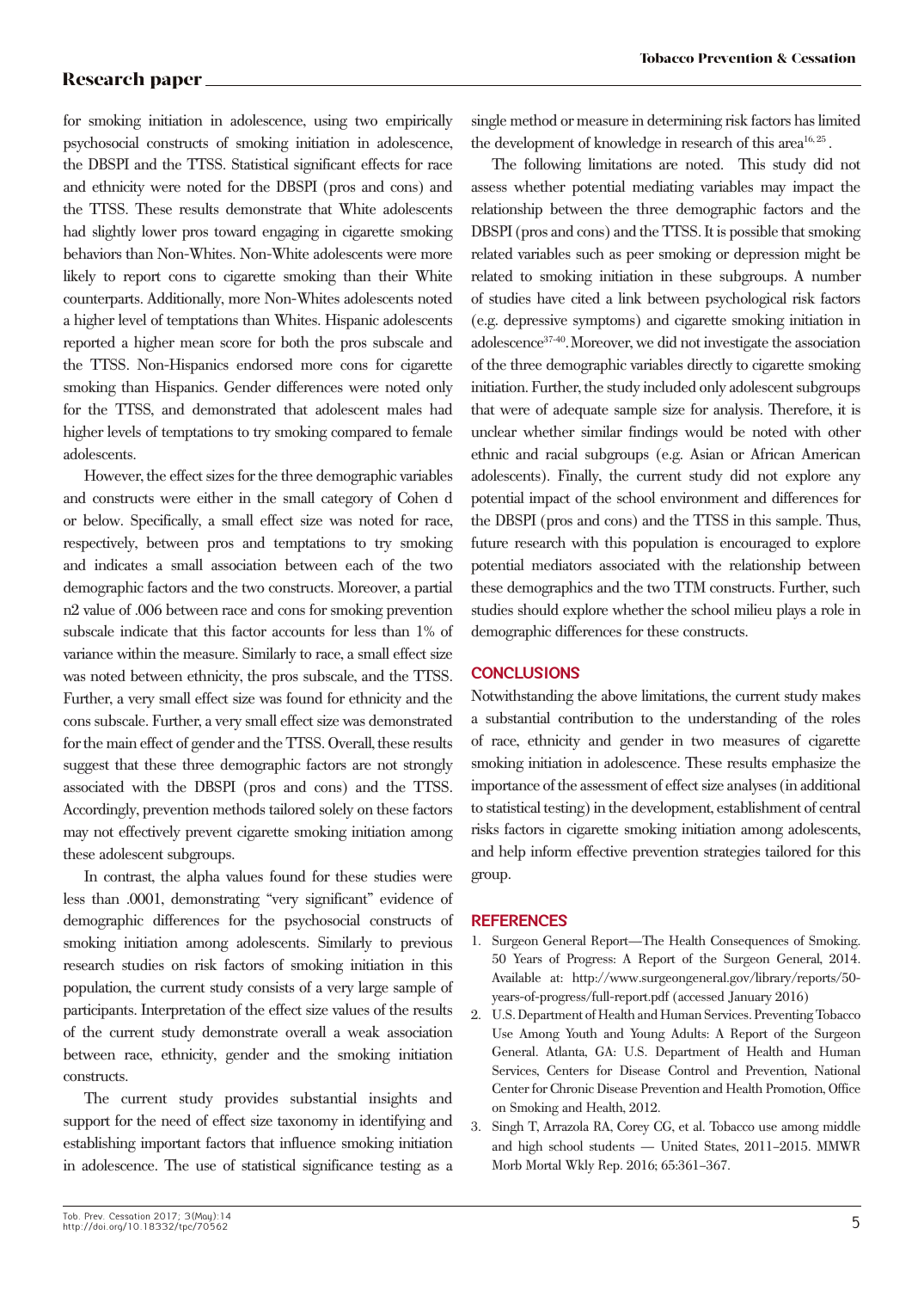for smoking initiation in adolescence, using two empirically psychosocial constructs of smoking initiation in adolescence, the DBSPI and the TTSS. Statistical significant effects for race and ethnicity were noted for the DBSPI (pros and cons) and the TTSS. These results demonstrate that White adolescents had slightly lower pros toward engaging in cigarette smoking behaviors than Non-Whites. Non-White adolescents were more likely to report cons to cigarette smoking than their White counterparts. Additionally, more Non-Whites adolescents noted a higher level of temptations than Whites. Hispanic adolescents reported a higher mean score for both the pros subscale and the TTSS. Non-Hispanics endorsed more cons for cigarette smoking than Hispanics. Gender differences were noted only for the TTSS, and demonstrated that adolescent males had higher levels of temptations to try smoking compared to female adolescents.

However, the effect sizes for the three demographic variables and constructs were either in the small category of Cohen d or below. Specifically, a small effect size was noted for race, respectively, between pros and temptations to try smoking and indicates a small association between each of the two demographic factors and the two constructs. Moreover, a partial η2 value of .006 between race and cons for smoking prevention subscale indicate that this factor accounts for less than 1% of variance within the measure. Similarly to race, a small effect size was noted between ethnicity, the pros subscale, and the TTSS. Further, a very small effect size was found for ethnicity and the cons subscale. Further, a very small effect size was demonstrated for the main effect of gender and the TTSS. Overall, these results suggest that these three demographic factors are not strongly associated with the DBSPI (pros and cons) and the TTSS. Accordingly, prevention methods tailored solely on these factors may not effectively prevent cigarette smoking initiation among these adolescent subgroups.

In contrast, the alpha values found for these studies were less than .0001, demonstrating "very significant" evidence of demographic differences for the psychosocial constructs of smoking initiation among adolescents. Similarly to previous research studies on risk factors of smoking initiation in this population, the current study consists of a very large sample of participants. Interpretation of the effect size values of the results of the current study demonstrate overall a weak association between race, ethnicity, gender and the smoking initiation constructs.

The current study provides substantial insights and support for the need of effect size taxonomy in identifying and establishing important factors that influence smoking initiation in adolescence. The use of statistical significance testing as a single method or measure in determining risk factors has limited the development of knowledge in research of this area<sup>16, 25</sup>.

The following limitations are noted. This study did not assess whether potential mediating variables may impact the relationship between the three demographic factors and the DBSPI (pros and cons) and the TTSS. It is possible that smoking related variables such as peer smoking or depression might be related to smoking initiation in these subgroups. A number of studies have cited a link between psychological risk factors (e.g. depressive symptoms) and cigarette smoking initiation in adolescence37-40.Moreover, we did not investigate the association of the three demographic variables directly to cigarette smoking initiation. Further, the study included only adolescent subgroups that were of adequate sample size for analysis. Therefore, it is unclear whether similar findings would be noted with other ethnic and racial subgroups (e.g. Asian or African American adolescents). Finally, the current study did not explore any potential impact of the school environment and differences for the DBSPI (pros and cons) and the TTSS in this sample. Thus, future research with this population is encouraged to explore potential mediators associated with the relationship between these demographics and the two TTM constructs. Further, such studies should explore whether the school milieu plays a role in demographic differences for these constructs.

### **CONCLUSIONS**

Notwithstanding the above limitations, the current study makes a substantial contribution to the understanding of the roles of race, ethnicity and gender in two measures of cigarette smoking initiation in adolescence. These results emphasize the importance of the assessment of effect size analyses (in additional to statistical testing) in the development, establishment of central risks factors in cigarette smoking initiation among adolescents, and help inform effective prevention strategies tailored for this group.

### **REFERENCES**

- 1. Surgeon General Report—The Health Consequences of Smoking. 50 Years of Progress: A Report of the Surgeon General, 2014. Available at: http://www.surgeongeneral.gov/library/reports/50 years-of-progress/full-report.pdf (accessed January 2016)
- 2. U.S. Department of Health and Human Services. Preventing Tobacco Use Among Youth and Young Adults: A Report of the Surgeon General. Atlanta, GA: U.S. Department of Health and Human Services, Centers for Disease Control and Prevention, National Center for Chronic Disease Prevention and Health Promotion, Office on Smoking and Health, 2012.
- 3. Singh T, Arrazola RA, Corey CG, et al. Tobacco use among middle and high school students — United States, 2011–2015. MMWR Morb Mortal Wkly Rep. 2016; 65:361–367.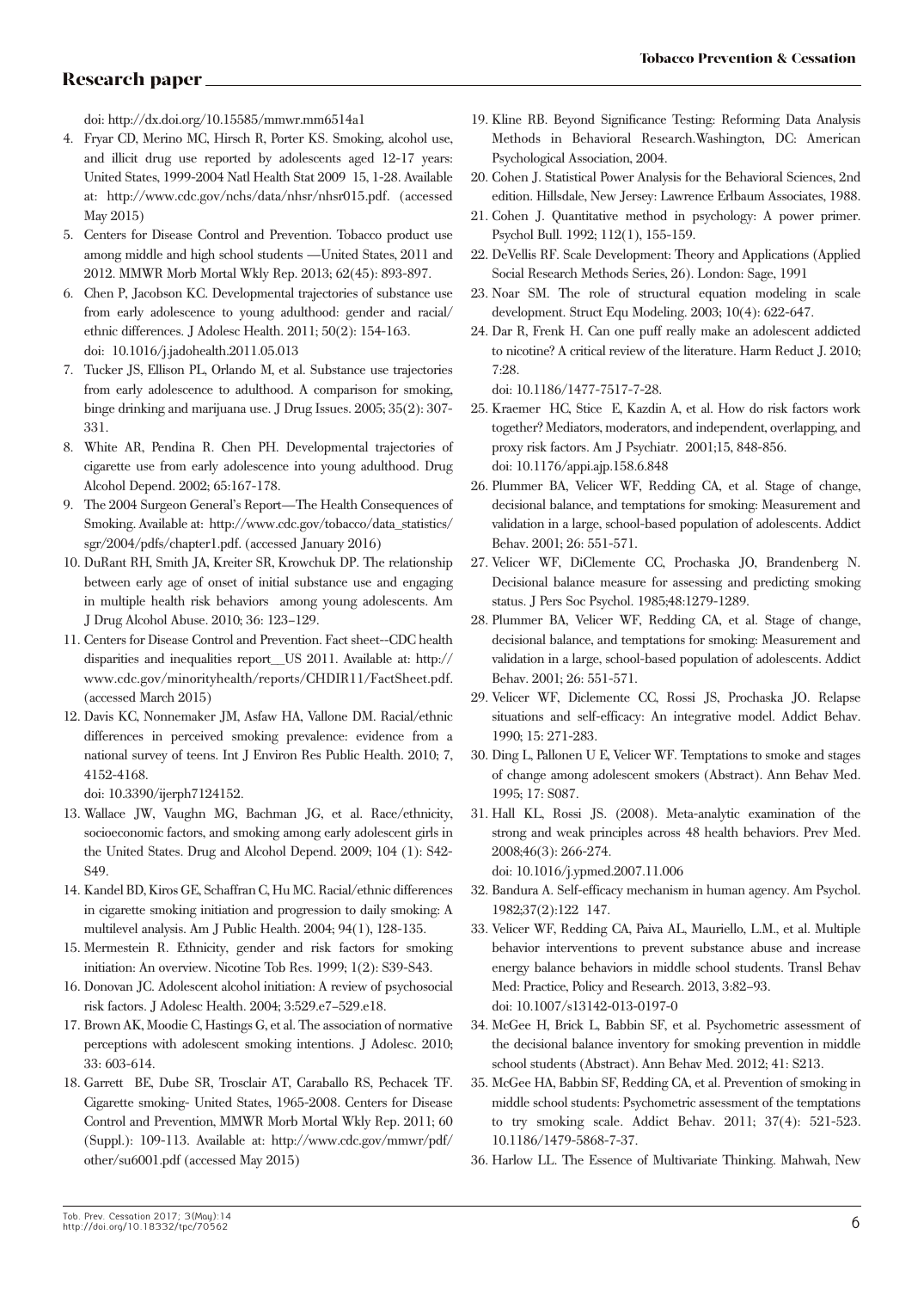doi: http://dx.doi.org/10.15585/mmwr.mm6514a1

- 4. Fryar CD, Merino MC, Hirsch R, Porter KS. Smoking, alcohol use, and illicit drug use reported by adolescents aged 12-17 years: United States, 1999-2004 Natl Health Stat 2009 15, 1-28. Available at: http://www.cdc.gov/nchs/data/nhsr/nhsr015.pdf. (accessed May 2015)
- 5. Centers for Disease Control and Prevention. Tobacco product use among middle and high school students —United States, 2011 and 2012. MMWR Morb Mortal Wkly Rep. 2013; 62(45): 893-897.
- 6. Chen P, Jacobson KC. Developmental trajectories of substance use from early adolescence to young adulthood: gender and racial/ ethnic differences. J Adolesc Health. 2011; 50(2): 154-163. doi: 10.1016/j.jadohealth.2011.05.013
- 7. Tucker JS, Ellison PL, Orlando M, et al. Substance use trajectories from early adolescence to adulthood. A comparison for smoking, binge drinking and marijuana use. J Drug Issues. 2005; 35(2): 307- 331.
- 8. White AR, Pendina R. Chen PH. Developmental trajectories of cigarette use from early adolescence into young adulthood. Drug Alcohol Depend. 2002; 65:167-178.
- 9. The 2004 Surgeon General's Report—The Health Consequences of Smoking. Available at: http://www.cdc.gov/tobacco/data\_statistics/ sgr/2004/pdfs/chapter1.pdf. (accessed January 2016)
- 10. DuRant RH, Smith JA, Kreiter SR, Krowchuk DP. The relationship between early age of onset of initial substance use and engaging in multiple health risk behaviors among young adolescents. Am J Drug Alcohol Abuse. 2010; 36: 123–129.
- 11. Centers for Disease Control and Prevention. Fact sheet--CDC health disparities and inequalities report\_\_US 2011. Available at: http:// www.cdc.gov/minorityhealth/reports/CHDIR11/FactSheet.pdf. (accessed March 2015)
- 12. Davis KC, Nonnemaker JM, Asfaw HA, Vallone DM. Racial/ethnic differences in perceived smoking prevalence: evidence from a national survey of teens. Int J Environ Res Public Health. 2010; 7, 4152-4168.

doi: 10.3390/ijerph7124152.

- 13. Wallace JW, Vaughn MG, Bachman JG, et al. Race/ethnicity, socioeconomic factors, and smoking among early adolescent girls in the United States. Drug and Alcohol Depend. 2009; 104 (1): S42- S49.
- 14. Kandel BD, Kiros GE, Schaffran C, Hu MC. Racial/ethnic differences in cigarette smoking initiation and progression to daily smoking: A multilevel analysis. Am J Public Health. 2004; 94(1), 128-135.
- 15. Mermestein R. Ethnicity, gender and risk factors for smoking initiation: An overview. Nicotine Tob Res. 1999; 1(2): S39-S43.
- 16. Donovan JC. Adolescent alcohol initiation: A review of psychosocial risk factors. J Adolesc Health. 2004; 3:529.e7–529.e18.
- 17. Brown AK, Moodie C, Hastings G, et al. The association of normative perceptions with adolescent smoking intentions. J Adolesc. 2010; 33: 603-614.
- 18. Garrett BE, Dube SR, Trosclair AT, Caraballo RS, Pechacek TF. Cigarette smoking- United States, 1965-2008. Centers for Disease Control and Prevention, MMWR Morb Mortal Wkly Rep. 2011; 60 (Suppl.): 109-113. Available at: http://www.cdc.gov/mmwr/pdf/ other/su6001.pdf (accessed May 2015)
- 19. Kline RB. Beyond Significance Testing: Reforming Data Analysis Methods in Behavioral Research.Washington, DC: American Psychological Association, 2004.
- 20. Cohen J. Statistical Power Analysis for the Behavioral Sciences, 2nd edition. Hillsdale, New Jersey: Lawrence Erlbaum Associates, 1988.
- 21. Cohen J. Quantitative method in psychology: A power primer. Psychol Bull. 1992; 112(1), 155-159.
- 22. DeVellis RF. Scale Development: Theory and Applications (Applied Social Research Methods Series, 26). London: Sage, 1991
- 23. Noar SM. The role of structural equation modeling in scale development. Struct Equ Modeling. 2003; 10(4): 622-647.
- 24. Dar R, Frenk H. Can one puff really make an adolescent addicted to nicotine? A critical review of the literature. Harm Reduct J. 2010; 7:28.

doi: 10.1186/1477-7517-7-28.

- 25. Kraemer HC, Stice E, Kazdin A, et al. How do risk factors work together? Mediators, moderators, and independent, overlapping, and proxy risk factors. Am J Psychiatr. 2001;15, 848-856. doi: 10.1176/appi.ajp.158.6.848
- 26. Plummer BA, Velicer WF, Redding CA, et al. Stage of change, decisional balance, and temptations for smoking: Measurement and validation in a large, school-based population of adolescents. Addict Behav. 2001; 26: 551-571.
- 27. Velicer WF, DiClemente CC, Prochaska JO, Brandenberg N. Decisional balance measure for assessing and predicting smoking status. J Pers Soc Psychol. 1985;48:1279-1289.
- 28. Plummer BA, Velicer WF, Redding CA, et al. Stage of change, decisional balance, and temptations for smoking: Measurement and validation in a large, school-based population of adolescents. Addict Behav. 2001; 26: 551-571.
- 29. Velicer WF, Diclemente CC, Rossi JS, Prochaska JO. Relapse situations and self-efficacy: An integrative model. Addict Behav. 1990; 15: 271-283.
- 30. Ding L, Pallonen U E, Velicer WF. Temptations to smoke and stages of change among adolescent smokers (Abstract). Ann Behav Med. 1995; 17: S087.
- 31. Hall KL, Rossi JS. (2008). Meta-analytic examination of the strong and weak principles across 48 health behaviors. Prev Med. 2008;46(3): 266-274. doi: 10.1016/j.ypmed.2007.11.006
- 32. Bandura A. Self-efficacy mechanism in human agency. Am Psychol. 1982;37(2):122 147.
- 33. Velicer WF, Redding CA, Paiva AL, Mauriello, L.M., et al. Multiple behavior interventions to prevent substance abuse and increase energy balance behaviors in middle school students. Transl Behav Med: Practice, Policy and Research. 2013, 3:82–93. doi: 10.1007/s13142-013-0197-0
- 34. McGee H, Brick L, Babbin SF, et al. Psychometric assessment of the decisional balance inventory for smoking prevention in middle school students (Abstract). Ann Behav Med. 2012; 41: S213.
- 35. McGee HA, Babbin SF, Redding CA, et al. Prevention of smoking in middle school students: Psychometric assessment of the temptations to try smoking scale. Addict Behav. 2011; 37(4): 521-523. 10.1186/1479-5868-7-37.
- 36. Harlow LL. The Essence of Multivariate Thinking. Mahwah, New